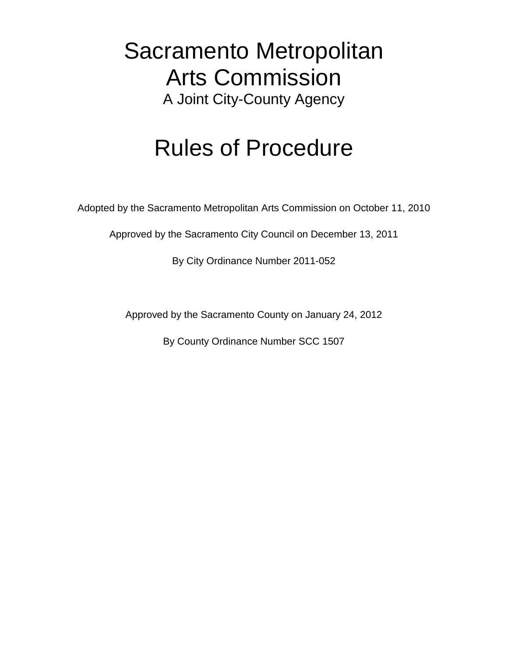# Sacramento Metropolitan Arts Commission A Joint City-County Agency

# Rules of Procedure

Adopted by the Sacramento Metropolitan Arts Commission on October 11, 2010

Approved by the Sacramento City Council on December 13, 2011

By City Ordinance Number 2011-052

Approved by the Sacramento County on January 24, 2012

By County Ordinance Number SCC 1507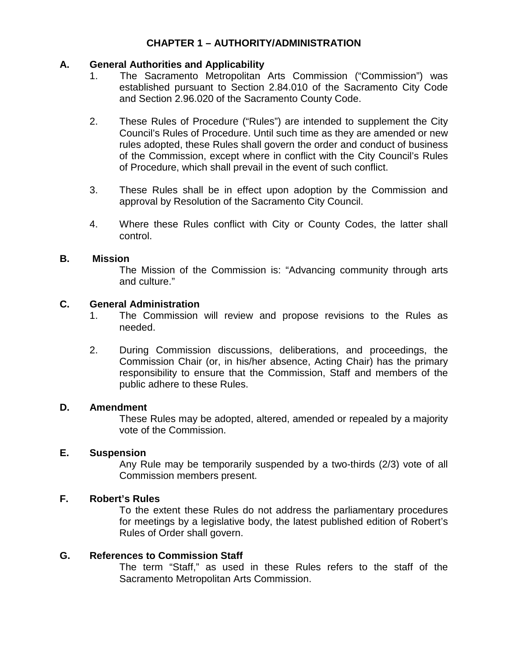# **CHAPTER 1 – AUTHORITY/ADMINISTRATION**

### **A. General Authorities and Applicability**

- 1. The Sacramento Metropolitan Arts Commission ("Commission") was established pursuant to Section 2.84.010 of the Sacramento City Code and Section 2.96.020 of the Sacramento County Code.
- 2. These Rules of Procedure ("Rules") are intended to supplement the City Council's Rules of Procedure. Until such time as they are amended or new rules adopted, these Rules shall govern the order and conduct of business of the Commission, except where in conflict with the City Council's Rules of Procedure, which shall prevail in the event of such conflict.
- 3. These Rules shall be in effect upon adoption by the Commission and approval by Resolution of the Sacramento City Council.
- 4. Where these Rules conflict with City or County Codes, the latter shall control.

#### **B. Mission**

The Mission of the Commission is: "Advancing community through arts and culture."

#### **C. General Administration**

- 1. The Commission will review and propose revisions to the Rules as needed.
- 2. During Commission discussions, deliberations, and proceedings, the Commission Chair (or, in his/her absence, Acting Chair) has the primary responsibility to ensure that the Commission, Staff and members of the public adhere to these Rules.

#### **D. Amendment**

These Rules may be adopted, altered, amended or repealed by a majority vote of the Commission.

### **E. Suspension**

Any Rule may be temporarily suspended by a two-thirds (2/3) vote of all Commission members present.

### **F. Robert's Rules**

To the extent these Rules do not address the parliamentary procedures for meetings by a legislative body, the latest published edition of Robert's Rules of Order shall govern.

### **G. References to Commission Staff**

The term "Staff," as used in these Rules refers to the staff of the Sacramento Metropolitan Arts Commission.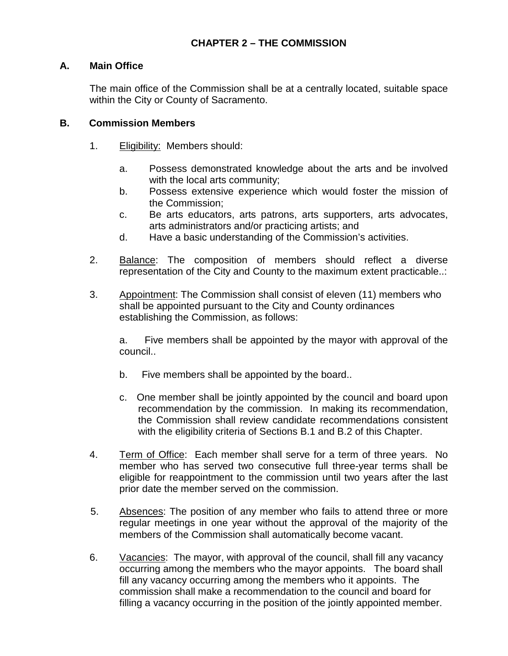# **A. Main Office**

The main office of the Commission shall be at a centrally located, suitable space within the City or County of Sacramento.

### **B. Commission Members**

- 1. Eligibility: Members should:
	- a. Possess demonstrated knowledge about the arts and be involved with the local arts community;
	- b. Possess extensive experience which would foster the mission of the Commission;
	- c. Be arts educators, arts patrons, arts supporters, arts advocates, arts administrators and/or practicing artists; and
	- d. Have a basic understanding of the Commission's activities.
- 2. Balance: The composition of members should reflect a diverse representation of the City and County to the maximum extent practicable..:
- 3. Appointment: The Commission shall consist of eleven (11) members who shall be appointed pursuant to the City and County ordinances establishing the Commission, as follows:

a. Five members shall be appointed by the mayor with approval of the council..

- b. Five members shall be appointed by the board..
- c. One member shall be jointly appointed by the council and board upon recommendation by the commission. In making its recommendation, the Commission shall review candidate recommendations consistent with the eligibility criteria of Sections B.1 and B.2 of this Chapter.
- 4. Term of Office: Each member shall serve for a term of three years. No member who has served two consecutive full three-year terms shall be eligible for reappointment to the commission until two years after the last prior date the member served on the commission.
- 5. Absences: The position of any member who fails to attend three or more regular meetings in one year without the approval of the majority of the members of the Commission shall automatically become vacant.
- 6. Vacancies: The mayor, with approval of the council, shall fill any vacancy occurring among the members who the mayor appoints. The board shall fill any vacancy occurring among the members who it appoints. The commission shall make a recommendation to the council and board for filling a vacancy occurring in the position of the jointly appointed member.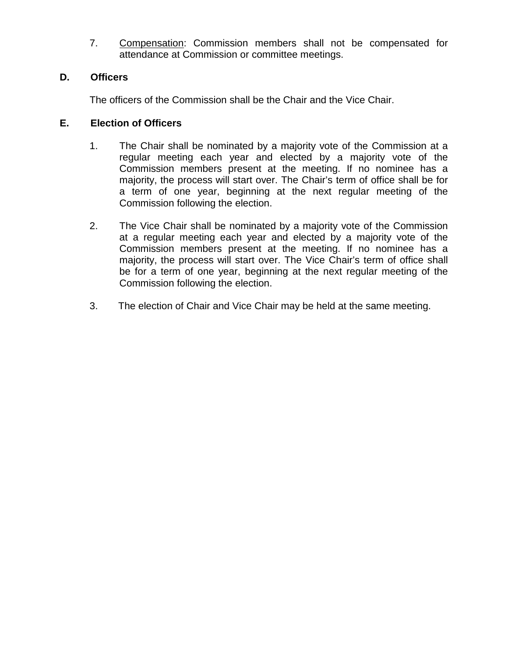7. Compensation: Commission members shall not be compensated for attendance at Commission or committee meetings.

# **D. Officers**

The officers of the Commission shall be the Chair and the Vice Chair.

# **E. Election of Officers**

- 1. The Chair shall be nominated by a majority vote of the Commission at a regular meeting each year and elected by a majority vote of the Commission members present at the meeting. If no nominee has a majority, the process will start over. The Chair's term of office shall be for a term of one year, beginning at the next regular meeting of the Commission following the election.
- 2. The Vice Chair shall be nominated by a majority vote of the Commission at a regular meeting each year and elected by a majority vote of the Commission members present at the meeting. If no nominee has a majority, the process will start over. The Vice Chair's term of office shall be for a term of one year, beginning at the next regular meeting of the Commission following the election.
- 3. The election of Chair and Vice Chair may be held at the same meeting.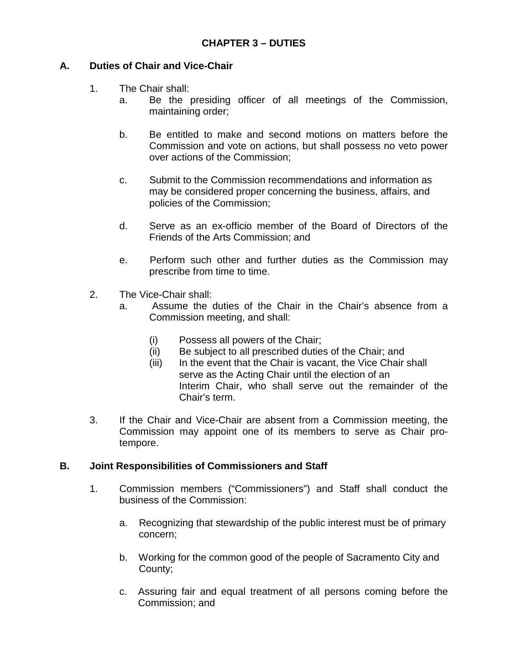# **A. Duties of Chair and Vice-Chair**

- 1. The Chair shall:
	- a. Be the presiding officer of all meetings of the Commission, maintaining order;
	- b. Be entitled to make and second motions on matters before the Commission and vote on actions, but shall possess no veto power over actions of the Commission;
	- c. Submit to the Commission recommendations and information as may be considered proper concerning the business, affairs, and policies of the Commission;
	- d. Serve as an ex-officio member of the Board of Directors of the Friends of the Arts Commission; and
	- e. Perform such other and further duties as the Commission may prescribe from time to time.
- 2. The Vice-Chair shall:
	- a. Assume the duties of the Chair in the Chair's absence from a Commission meeting, and shall:
		- (i) Possess all powers of the Chair;
		- (ii) Be subject to all prescribed duties of the Chair; and
		- (iii) In the event that the Chair is vacant, the Vice Chair shall serve as the Acting Chair until the election of an Interim Chair, who shall serve out the remainder of the Chair's term.
- 3. If the Chair and Vice-Chair are absent from a Commission meeting, the Commission may appoint one of its members to serve as Chair protempore.

### **B. Joint Responsibilities of Commissioners and Staff**

- 1. Commission members ("Commissioners") and Staff shall conduct the business of the Commission:
	- a. Recognizing that stewardship of the public interest must be of primary concern;
	- b. Working for the common good of the people of Sacramento City and County;
	- c. Assuring fair and equal treatment of all persons coming before the Commission; and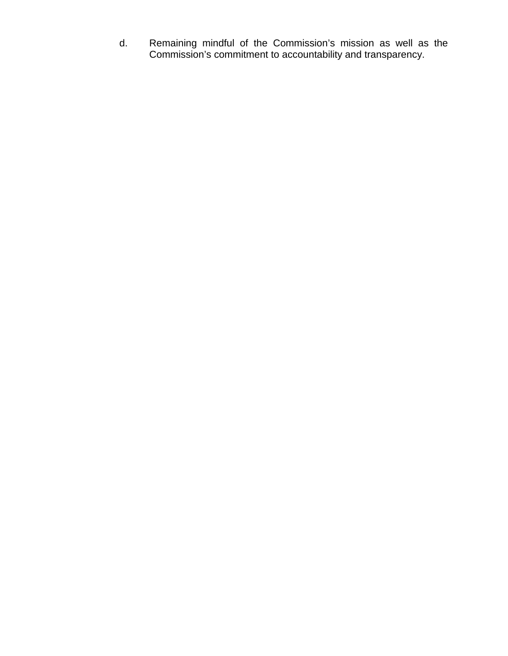d. Remaining mindful of the Commission's mission as well as the Commission's commitment to accountability and transparency.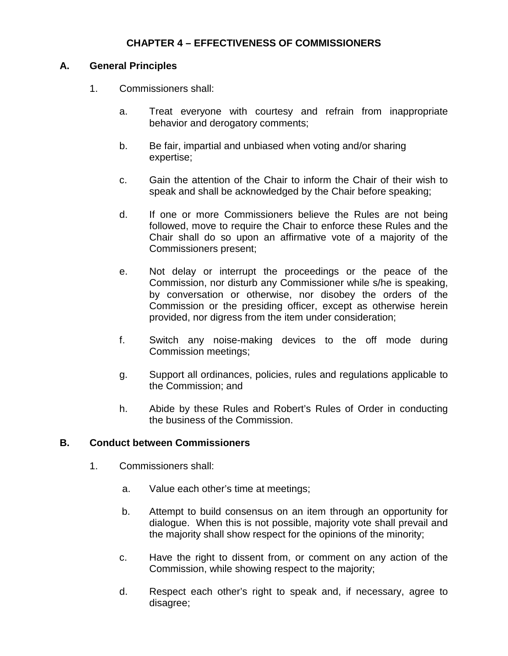# **CHAPTER 4 – EFFECTIVENESS OF COMMISSIONERS**

#### **A. General Principles**

- 1. Commissioners shall:
	- a. Treat everyone with courtesy and refrain from inappropriate behavior and derogatory comments;
	- b. Be fair, impartial and unbiased when voting and/or sharing expertise;
	- c. Gain the attention of the Chair to inform the Chair of their wish to speak and shall be acknowledged by the Chair before speaking;
	- d. If one or more Commissioners believe the Rules are not being followed, move to require the Chair to enforce these Rules and the Chair shall do so upon an affirmative vote of a majority of the Commissioners present;
	- e. Not delay or interrupt the proceedings or the peace of the Commission, nor disturb any Commissioner while s/he is speaking, by conversation or otherwise, nor disobey the orders of the Commission or the presiding officer, except as otherwise herein provided, nor digress from the item under consideration;
	- f. Switch any noise-making devices to the off mode during Commission meetings;
	- g. Support all ordinances, policies, rules and regulations applicable to the Commission; and
	- h. Abide by these Rules and Robert's Rules of Order in conducting the business of the Commission.

# **B. Conduct between Commissioners**

- 1. Commissioners shall:
	- a. Value each other's time at meetings;
	- b. Attempt to build consensus on an item through an opportunity for dialogue. When this is not possible, majority vote shall prevail and the majority shall show respect for the opinions of the minority;
	- c. Have the right to dissent from, or comment on any action of the Commission, while showing respect to the majority;
	- d. Respect each other's right to speak and, if necessary, agree to disagree;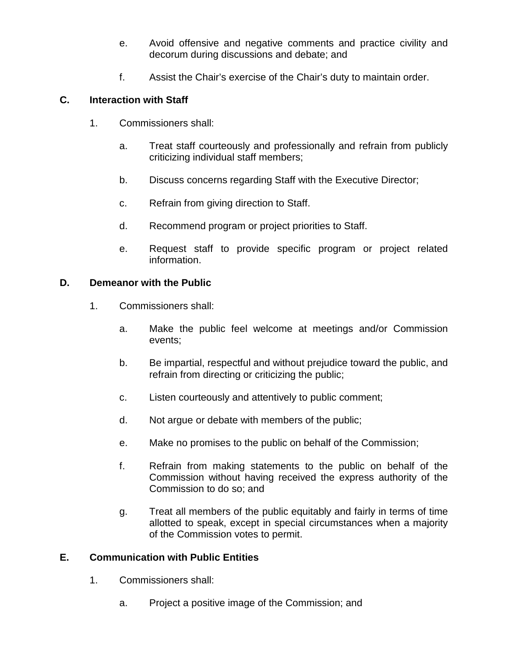- e. Avoid offensive and negative comments and practice civility and decorum during discussions and debate; and
- f. Assist the Chair's exercise of the Chair's duty to maintain order.

# **C. Interaction with Staff**

- 1. Commissioners shall:
	- a. Treat staff courteously and professionally and refrain from publicly criticizing individual staff members;
	- b. Discuss concerns regarding Staff with the Executive Director;
	- c. Refrain from giving direction to Staff.
	- d. Recommend program or project priorities to Staff.
	- e. Request staff to provide specific program or project related information.

### **D. Demeanor with the Public**

- 1. Commissioners shall:
	- a. Make the public feel welcome at meetings and/or Commission events;
	- b. Be impartial, respectful and without prejudice toward the public, and refrain from directing or criticizing the public;
	- c. Listen courteously and attentively to public comment;
	- d. Not argue or debate with members of the public;
	- e. Make no promises to the public on behalf of the Commission;
	- f. Refrain from making statements to the public on behalf of the Commission without having received the express authority of the Commission to do so; and
	- g. Treat all members of the public equitably and fairly in terms of time allotted to speak, except in special circumstances when a majority of the Commission votes to permit.

# **E. Communication with Public Entities**

- 1. Commissioners shall:
	- a. Project a positive image of the Commission; and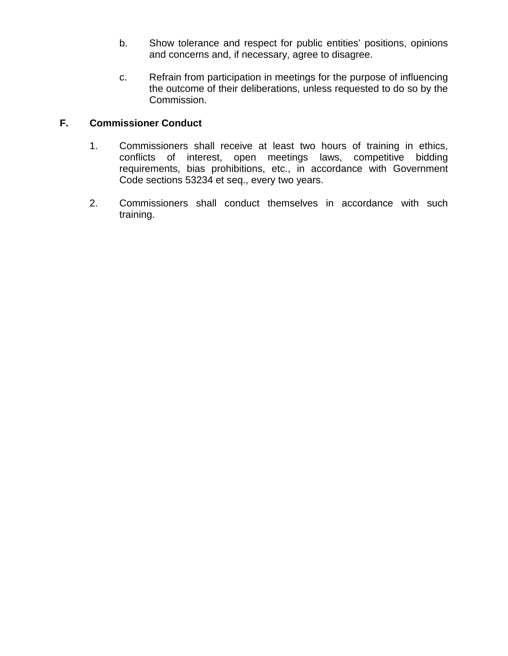- b. Show tolerance and respect for public entities' positions, opinions and concerns and, if necessary, agree to disagree.
- c. Refrain from participation in meetings for the purpose of influencing the outcome of their deliberations, unless requested to do so by the Commission.

# **F. Commissioner Conduct**

- 1. Commissioners shall receive at least two hours of training in ethics, conflicts of interest, open meetings laws, competitive bidding requirements, bias prohibitions, etc., in accordance with Government Code sections 53234 et seq., every two years.
- 2. Commissioners shall conduct themselves in accordance with such training.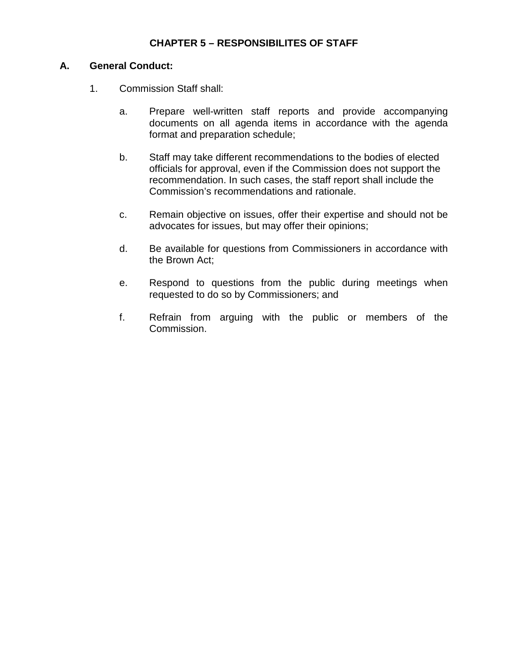# **CHAPTER 5 – RESPONSIBILITES OF STAFF**

#### **A. General Conduct:**

- 1. Commission Staff shall:
	- a. Prepare well-written staff reports and provide accompanying documents on all agenda items in accordance with the agenda format and preparation schedule;
	- b. Staff may take different recommendations to the bodies of elected officials for approval, even if the Commission does not support the recommendation. In such cases, the staff report shall include the Commission's recommendations and rationale.
	- c. Remain objective on issues, offer their expertise and should not be advocates for issues, but may offer their opinions;
	- d. Be available for questions from Commissioners in accordance with the Brown Act;
	- e. Respond to questions from the public during meetings when requested to do so by Commissioners; and
	- f. Refrain from arguing with the public or members of the Commission.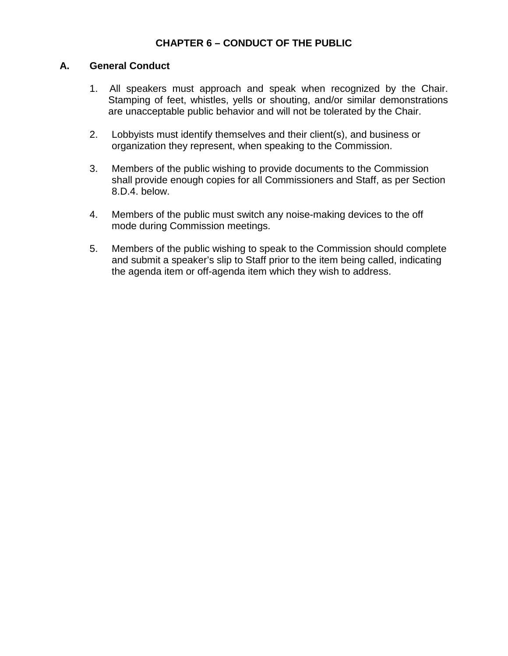# **CHAPTER 6 – CONDUCT OF THE PUBLIC**

#### **A. General Conduct**

- 1. All speakers must approach and speak when recognized by the Chair. Stamping of feet, whistles, yells or shouting, and/or similar demonstrations are unacceptable public behavior and will not be tolerated by the Chair.
- 2. Lobbyists must identify themselves and their client(s), and business or organization they represent, when speaking to the Commission.
- 3. Members of the public wishing to provide documents to the Commission shall provide enough copies for all Commissioners and Staff, as per Section 8.D.4. below.
- 4. Members of the public must switch any noise-making devices to the off mode during Commission meetings.
- 5. Members of the public wishing to speak to the Commission should complete and submit a speaker's slip to Staff prior to the item being called, indicating the agenda item or off-agenda item which they wish to address.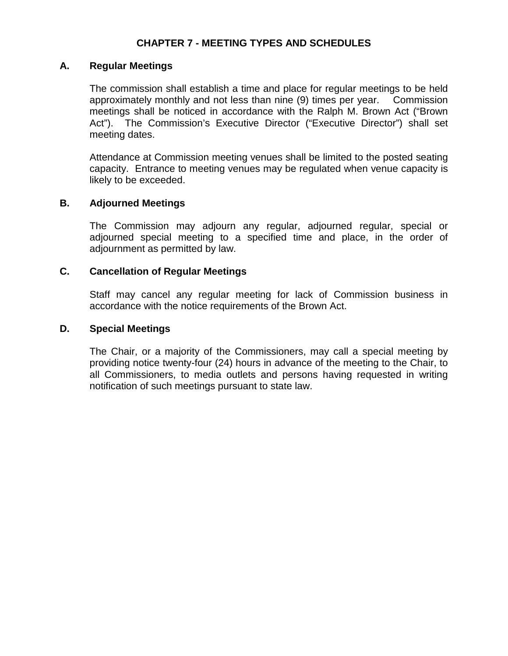# **CHAPTER 7 - MEETING TYPES AND SCHEDULES**

#### **A. Regular Meetings**

The commission shall establish a time and place for regular meetings to be held approximately monthly and not less than nine (9) times per year. Commission meetings shall be noticed in accordance with the Ralph M. Brown Act ("Brown Act"). The Commission's Executive Director ("Executive Director") shall set meeting dates.

Attendance at Commission meeting venues shall be limited to the posted seating capacity. Entrance to meeting venues may be regulated when venue capacity is likely to be exceeded.

#### **B. Adjourned Meetings**

The Commission may adjourn any regular, adjourned regular, special or adjourned special meeting to a specified time and place, in the order of adjournment as permitted by law.

#### **C. Cancellation of Regular Meetings**

Staff may cancel any regular meeting for lack of Commission business in accordance with the notice requirements of the Brown Act.

#### **D. Special Meetings**

The Chair, or a majority of the Commissioners, may call a special meeting by providing notice twenty-four (24) hours in advance of the meeting to the Chair, to all Commissioners, to media outlets and persons having requested in writing notification of such meetings pursuant to state law.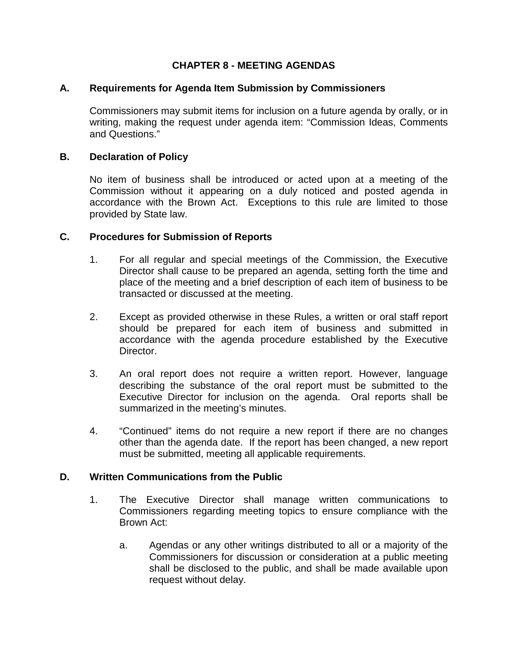# **CHAPTER 8 - MEETING AGENDAS**

#### **A. Requirements for Agenda Item Submission by Commissioners**

Commissioners may submit items for inclusion on a future agenda by orally, or in writing, making the request under agenda item: "Commission Ideas, Comments and Questions."

#### **B. Declaration of Policy**

No item of business shall be introduced or acted upon at a meeting of the Commission without it appearing on a duly noticed and posted agenda in accordance with the Brown Act. Exceptions to this rule are limited to those provided by State law.

#### **C. Procedures for Submission of Reports**

- 1. For all regular and special meetings of the Commission, the Executive Director shall cause to be prepared an agenda, setting forth the time and place of the meeting and a brief description of each item of business to be transacted or discussed at the meeting.
- 2. Except as provided otherwise in these Rules, a written or oral staff report should be prepared for each item of business and submitted in accordance with the agenda procedure established by the Executive Director.
- 3. An oral report does not require a written report. However, language describing the substance of the oral report must be submitted to the Executive Director for inclusion on the agenda. Oral reports shall be summarized in the meeting's minutes.
- 4. "Continued" items do not require a new report if there are no changes other than the agenda date. If the report has been changed, a new report must be submitted, meeting all applicable requirements.

#### **D. Written Communications from the Public**

- 1. The Executive Director shall manage written communications to Commissioners regarding meeting topics to ensure compliance with the Brown Act:
	- a. Agendas or any other writings distributed to all or a majority of the Commissioners for discussion or consideration at a public meeting shall be disclosed to the public, and shall be made available upon request without delay.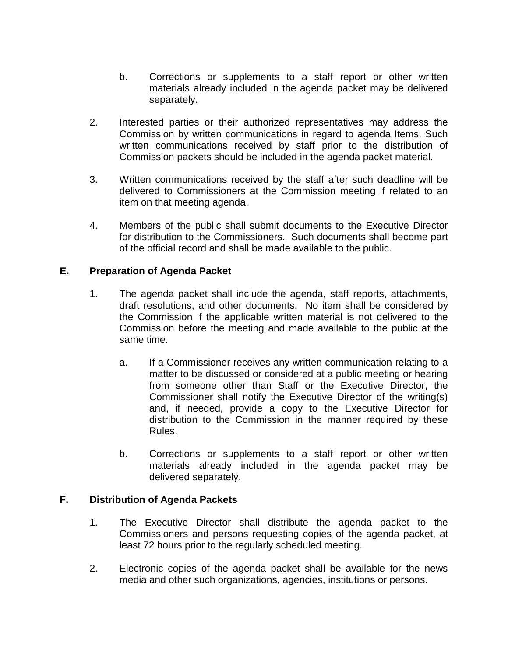- b. Corrections or supplements to a staff report or other written materials already included in the agenda packet may be delivered separately.
- 2. Interested parties or their authorized representatives may address the Commission by written communications in regard to agenda Items. Such written communications received by staff prior to the distribution of Commission packets should be included in the agenda packet material.
- 3. Written communications received by the staff after such deadline will be delivered to Commissioners at the Commission meeting if related to an item on that meeting agenda.
- 4. Members of the public shall submit documents to the Executive Director for distribution to the Commissioners. Such documents shall become part of the official record and shall be made available to the public.

# **E. Preparation of Agenda Packet**

- 1. The agenda packet shall include the agenda, staff reports, attachments, draft resolutions, and other documents. No item shall be considered by the Commission if the applicable written material is not delivered to the Commission before the meeting and made available to the public at the same time.
	- a. If a Commissioner receives any written communication relating to a matter to be discussed or considered at a public meeting or hearing from someone other than Staff or the Executive Director, the Commissioner shall notify the Executive Director of the writing(s) and, if needed, provide a copy to the Executive Director for distribution to the Commission in the manner required by these Rules.
	- b. Corrections or supplements to a staff report or other written materials already included in the agenda packet may be delivered separately.

### **F. Distribution of Agenda Packets**

- 1. The Executive Director shall distribute the agenda packet to the Commissioners and persons requesting copies of the agenda packet, at least 72 hours prior to the regularly scheduled meeting.
- 2. Electronic copies of the agenda packet shall be available for the news media and other such organizations, agencies, institutions or persons.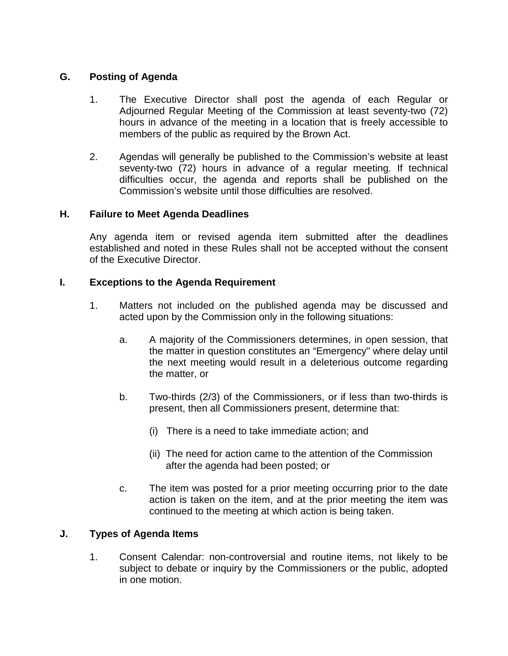# **G. Posting of Agenda**

- 1. The Executive Director shall post the agenda of each Regular or Adjourned Regular Meeting of the Commission at least seventy-two (72) hours in advance of the meeting in a location that is freely accessible to members of the public as required by the Brown Act.
- 2. Agendas will generally be published to the Commission's website at least seventy-two (72) hours in advance of a regular meeting. If technical difficulties occur, the agenda and reports shall be published on the Commission's website until those difficulties are resolved.

### **H. Failure to Meet Agenda Deadlines**

Any agenda item or revised agenda item submitted after the deadlines established and noted in these Rules shall not be accepted without the consent of the Executive Director.

# **I. Exceptions to the Agenda Requirement**

- 1. Matters not included on the published agenda may be discussed and acted upon by the Commission only in the following situations:
	- a. A majority of the Commissioners determines, in open session, that the matter in question constitutes an "Emergency" where delay until the next meeting would result in a deleterious outcome regarding the matter, or
	- b. Two-thirds (2/3) of the Commissioners, or if less than two-thirds is present, then all Commissioners present, determine that:
		- (i) There is a need to take immediate action; and
		- (ii) The need for action came to the attention of the Commission after the agenda had been posted; or
	- c. The item was posted for a prior meeting occurring prior to the date action is taken on the item, and at the prior meeting the item was continued to the meeting at which action is being taken.

### **J. Types of Agenda Items**

1. Consent Calendar: non-controversial and routine items, not likely to be subject to debate or inquiry by the Commissioners or the public, adopted in one motion.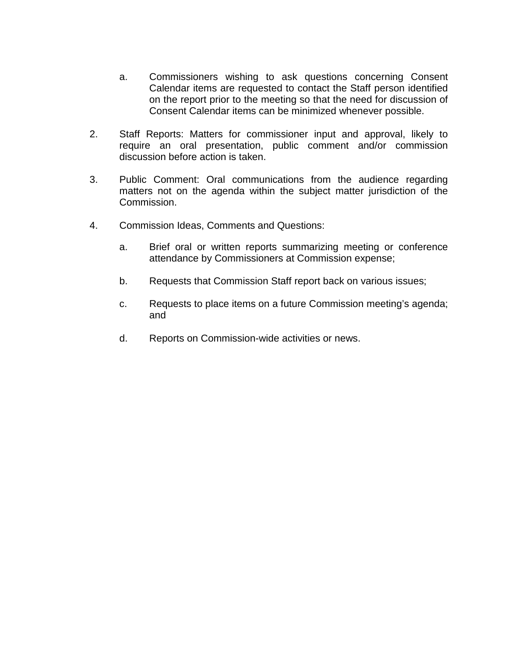- a. Commissioners wishing to ask questions concerning Consent Calendar items are requested to contact the Staff person identified on the report prior to the meeting so that the need for discussion of Consent Calendar items can be minimized whenever possible.
- 2. Staff Reports: Matters for commissioner input and approval, likely to require an oral presentation, public comment and/or commission discussion before action is taken.
- 3. Public Comment: Oral communications from the audience regarding matters not on the agenda within the subject matter jurisdiction of the Commission.
- 4. Commission Ideas, Comments and Questions:
	- a. Brief oral or written reports summarizing meeting or conference attendance by Commissioners at Commission expense;
	- b. Requests that Commission Staff report back on various issues;
	- c. Requests to place items on a future Commission meeting's agenda; and
	- d. Reports on Commission-wide activities or news.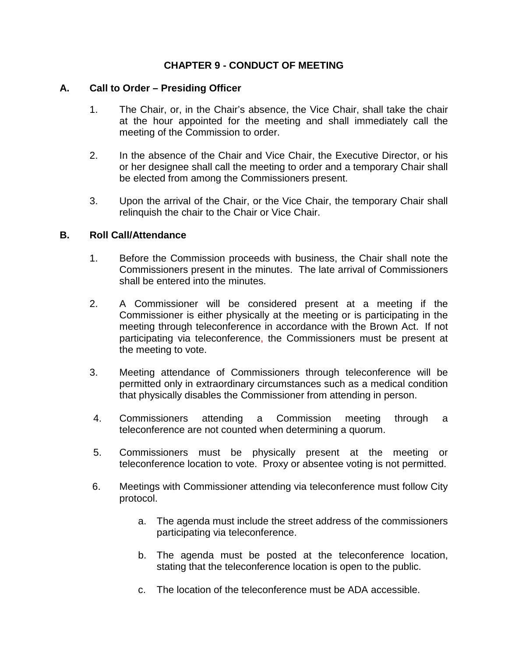# **CHAPTER 9 - CONDUCT OF MEETING**

#### **A. Call to Order – Presiding Officer**

- 1. The Chair, or, in the Chair's absence, the Vice Chair, shall take the chair at the hour appointed for the meeting and shall immediately call the meeting of the Commission to order.
- 2. In the absence of the Chair and Vice Chair, the Executive Director, or his or her designee shall call the meeting to order and a temporary Chair shall be elected from among the Commissioners present.
- 3. Upon the arrival of the Chair, or the Vice Chair, the temporary Chair shall relinquish the chair to the Chair or Vice Chair.

#### **B. Roll Call/Attendance**

- 1. Before the Commission proceeds with business, the Chair shall note the Commissioners present in the minutes. The late arrival of Commissioners shall be entered into the minutes.
- 2. A Commissioner will be considered present at a meeting if the Commissioner is either physically at the meeting or is participating in the meeting through teleconference in accordance with the Brown Act. If not participating via teleconference, the Commissioners must be present at the meeting to vote.
- 3. Meeting attendance of Commissioners through teleconference will be permitted only in extraordinary circumstances such as a medical condition that physically disables the Commissioner from attending in person.
- 4. Commissioners attending a Commission meeting through a teleconference are not counted when determining a quorum.
- 5. Commissioners must be physically present at the meeting or teleconference location to vote. Proxy or absentee voting is not permitted.
- 6. Meetings with Commissioner attending via teleconference must follow City protocol.
	- a. The agenda must include the street address of the commissioners participating via teleconference.
	- b. The agenda must be posted at the teleconference location, stating that the teleconference location is open to the public.
	- c. The location of the teleconference must be ADA accessible.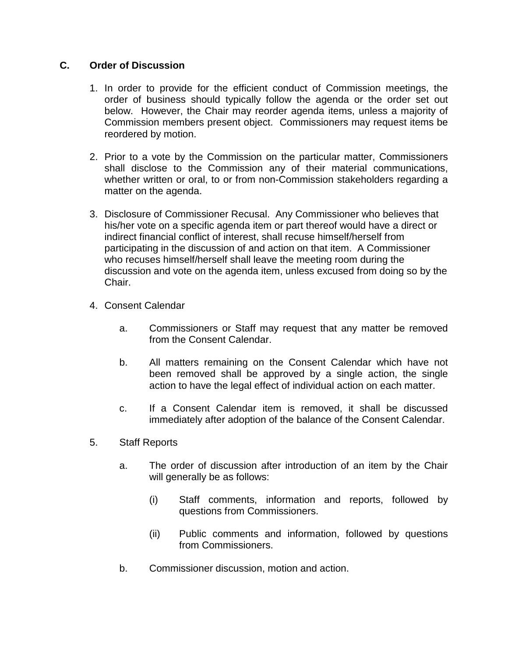## **C. Order of Discussion**

- 1. In order to provide for the efficient conduct of Commission meetings, the order of business should typically follow the agenda or the order set out below. However, the Chair may reorder agenda items, unless a majority of Commission members present object. Commissioners may request items be reordered by motion.
- 2. Prior to a vote by the Commission on the particular matter, Commissioners shall disclose to the Commission any of their material communications, whether written or oral, to or from non-Commission stakeholders regarding a matter on the agenda.
- 3. Disclosure of Commissioner Recusal. Any Commissioner who believes that his/her vote on a specific agenda item or part thereof would have a direct or indirect financial conflict of interest, shall recuse himself/herself from participating in the discussion of and action on that item. A Commissioner who recuses himself/herself shall leave the meeting room during the discussion and vote on the agenda item, unless excused from doing so by the Chair.
- 4. Consent Calendar
	- a. Commissioners or Staff may request that any matter be removed from the Consent Calendar.
	- b. All matters remaining on the Consent Calendar which have not been removed shall be approved by a single action, the single action to have the legal effect of individual action on each matter.
	- c. If a Consent Calendar item is removed, it shall be discussed immediately after adoption of the balance of the Consent Calendar.
- 5. Staff Reports
	- a. The order of discussion after introduction of an item by the Chair will generally be as follows:
		- (i) Staff comments, information and reports, followed by questions from Commissioners.
		- (ii) Public comments and information, followed by questions from Commissioners.
	- b. Commissioner discussion, motion and action.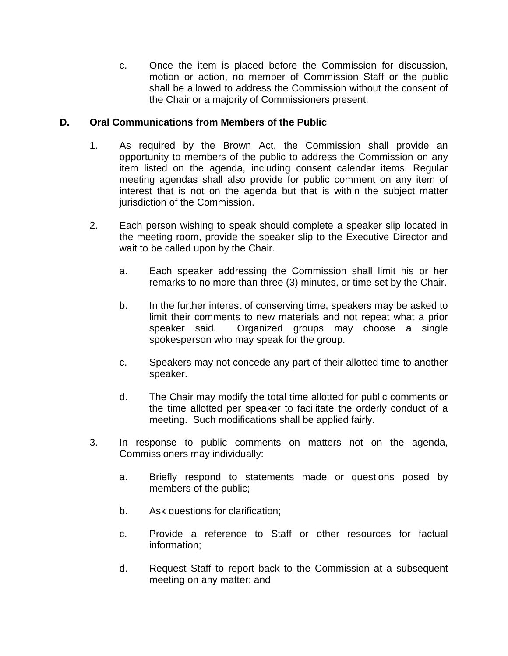c. Once the item is placed before the Commission for discussion, motion or action, no member of Commission Staff or the public shall be allowed to address the Commission without the consent of the Chair or a majority of Commissioners present.

# **D. Oral Communications from Members of the Public**

- 1. As required by the Brown Act, the Commission shall provide an opportunity to members of the public to address the Commission on any item listed on the agenda, including consent calendar items. Regular meeting agendas shall also provide for public comment on any item of interest that is not on the agenda but that is within the subject matter jurisdiction of the Commission.
- 2. Each person wishing to speak should complete a speaker slip located in the meeting room, provide the speaker slip to the Executive Director and wait to be called upon by the Chair.
	- a. Each speaker addressing the Commission shall limit his or her remarks to no more than three (3) minutes, or time set by the Chair.
	- b. In the further interest of conserving time, speakers may be asked to limit their comments to new materials and not repeat what a prior speaker said. Organized groups may choose a single spokesperson who may speak for the group.
	- c. Speakers may not concede any part of their allotted time to another speaker.
	- d. The Chair may modify the total time allotted for public comments or the time allotted per speaker to facilitate the orderly conduct of a meeting. Such modifications shall be applied fairly.
- 3. In response to public comments on matters not on the agenda, Commissioners may individually:
	- a. Briefly respond to statements made or questions posed by members of the public;
	- b. Ask questions for clarification;
	- c. Provide a reference to Staff or other resources for factual information;
	- d. Request Staff to report back to the Commission at a subsequent meeting on any matter; and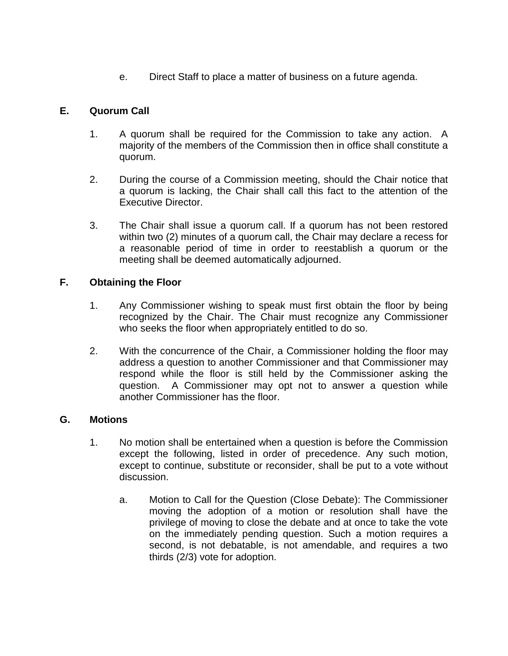e. Direct Staff to place a matter of business on a future agenda.

# **E. Quorum Call**

- 1. A quorum shall be required for the Commission to take any action. A majority of the members of the Commission then in office shall constitute a quorum.
- 2. During the course of a Commission meeting, should the Chair notice that a quorum is lacking, the Chair shall call this fact to the attention of the Executive Director.
- 3. The Chair shall issue a quorum call. If a quorum has not been restored within two (2) minutes of a quorum call, the Chair may declare a recess for a reasonable period of time in order to reestablish a quorum or the meeting shall be deemed automatically adjourned.

# **F. Obtaining the Floor**

- 1. Any Commissioner wishing to speak must first obtain the floor by being recognized by the Chair. The Chair must recognize any Commissioner who seeks the floor when appropriately entitled to do so.
- 2. With the concurrence of the Chair, a Commissioner holding the floor may address a question to another Commissioner and that Commissioner may respond while the floor is still held by the Commissioner asking the question. A Commissioner may opt not to answer a question while another Commissioner has the floor.

# **G. Motions**

- 1. No motion shall be entertained when a question is before the Commission except the following, listed in order of precedence. Any such motion, except to continue, substitute or reconsider, shall be put to a vote without discussion.
	- a. Motion to Call for the Question (Close Debate): The Commissioner moving the adoption of a motion or resolution shall have the privilege of moving to close the debate and at once to take the vote on the immediately pending question. Such a motion requires a second, is not debatable, is not amendable, and requires a two thirds (2/3) vote for adoption.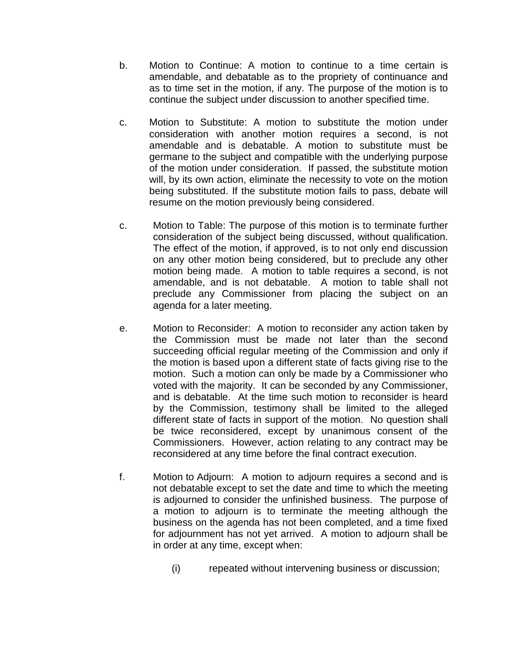- b. Motion to Continue: A motion to continue to a time certain is amendable, and debatable as to the propriety of continuance and as to time set in the motion, if any. The purpose of the motion is to continue the subject under discussion to another specified time.
- c. Motion to Substitute: A motion to substitute the motion under consideration with another motion requires a second, is not amendable and is debatable. A motion to substitute must be germane to the subject and compatible with the underlying purpose of the motion under consideration. If passed, the substitute motion will, by its own action, eliminate the necessity to vote on the motion being substituted. If the substitute motion fails to pass, debate will resume on the motion previously being considered.
- c. Motion to Table: The purpose of this motion is to terminate further consideration of the subject being discussed, without qualification. The effect of the motion, if approved, is to not only end discussion on any other motion being considered, but to preclude any other motion being made. A motion to table requires a second, is not amendable, and is not debatable. A motion to table shall not preclude any Commissioner from placing the subject on an agenda for a later meeting.
- e. Motion to Reconsider: A motion to reconsider any action taken by the Commission must be made not later than the second succeeding official regular meeting of the Commission and only if the motion is based upon a different state of facts giving rise to the motion. Such a motion can only be made by a Commissioner who voted with the majority. It can be seconded by any Commissioner, and is debatable. At the time such motion to reconsider is heard by the Commission, testimony shall be limited to the alleged different state of facts in support of the motion. No question shall be twice reconsidered, except by unanimous consent of the Commissioners. However, action relating to any contract may be reconsidered at any time before the final contract execution.
- f. Motion to Adjourn: A motion to adjourn requires a second and is not debatable except to set the date and time to which the meeting is adjourned to consider the unfinished business. The purpose of a motion to adjourn is to terminate the meeting although the business on the agenda has not been completed, and a time fixed for adjournment has not yet arrived. A motion to adjourn shall be in order at any time, except when:
	- (i) repeated without intervening business or discussion;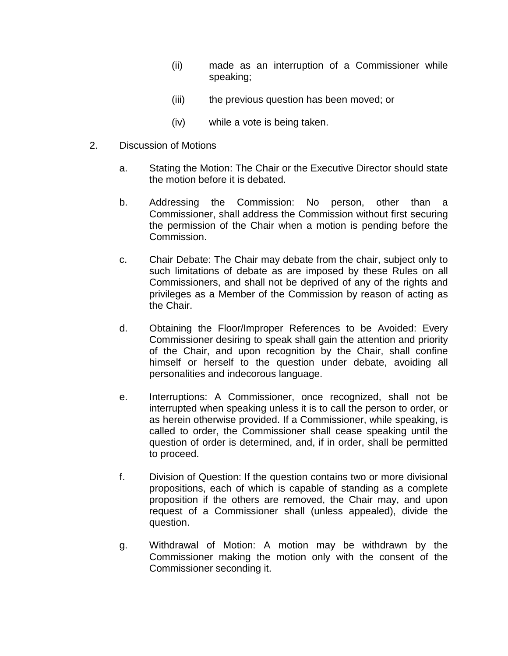- (ii) made as an interruption of a Commissioner while speaking;
- (iii) the previous question has been moved; or
- (iv) while a vote is being taken.
- 2. Discussion of Motions
	- a. Stating the Motion: The Chair or the Executive Director should state the motion before it is debated.
	- b. Addressing the Commission: No person, other than a Commissioner, shall address the Commission without first securing the permission of the Chair when a motion is pending before the Commission.
	- c. Chair Debate: The Chair may debate from the chair, subject only to such limitations of debate as are imposed by these Rules on all Commissioners, and shall not be deprived of any of the rights and privileges as a Member of the Commission by reason of acting as the Chair.
	- d. Obtaining the Floor/Improper References to be Avoided: Every Commissioner desiring to speak shall gain the attention and priority of the Chair, and upon recognition by the Chair, shall confine himself or herself to the question under debate, avoiding all personalities and indecorous language.
	- e. Interruptions: A Commissioner, once recognized, shall not be interrupted when speaking unless it is to call the person to order, or as herein otherwise provided. If a Commissioner, while speaking, is called to order, the Commissioner shall cease speaking until the question of order is determined, and, if in order, shall be permitted to proceed.
	- f. Division of Question: If the question contains two or more divisional propositions, each of which is capable of standing as a complete proposition if the others are removed, the Chair may, and upon request of a Commissioner shall (unless appealed), divide the question.
	- g. Withdrawal of Motion: A motion may be withdrawn by the Commissioner making the motion only with the consent of the Commissioner seconding it.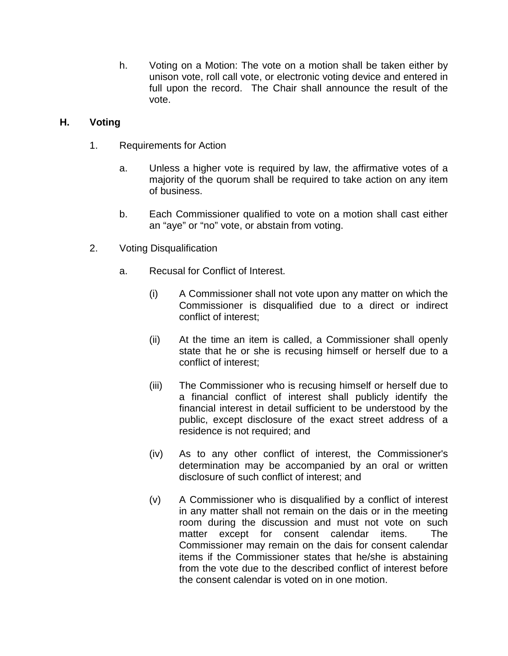h. Voting on a Motion: The vote on a motion shall be taken either by unison vote, roll call vote, or electronic voting device and entered in full upon the record. The Chair shall announce the result of the vote.

# **H. Voting**

- 1. Requirements for Action
	- a. Unless a higher vote is required by law, the affirmative votes of a majority of the quorum shall be required to take action on any item of business.
	- b. Each Commissioner qualified to vote on a motion shall cast either an "aye" or "no" vote, or abstain from voting.
- 2. Voting Disqualification
	- a. Recusal for Conflict of Interest.
		- (i) A Commissioner shall not vote upon any matter on which the Commissioner is disqualified due to a direct or indirect conflict of interest;
		- (ii) At the time an item is called, a Commissioner shall openly state that he or she is recusing himself or herself due to a conflict of interest;
		- (iii) The Commissioner who is recusing himself or herself due to a financial conflict of interest shall publicly identify the financial interest in detail sufficient to be understood by the public, except disclosure of the exact street address of a residence is not required; and
		- (iv) As to any other conflict of interest, the Commissioner's determination may be accompanied by an oral or written disclosure of such conflict of interest; and
		- (v) A Commissioner who is disqualified by a conflict of interest in any matter shall not remain on the dais or in the meeting room during the discussion and must not vote on such matter except for consent calendar items. The Commissioner may remain on the dais for consent calendar items if the Commissioner states that he/she is abstaining from the vote due to the described conflict of interest before the consent calendar is voted on in one motion.